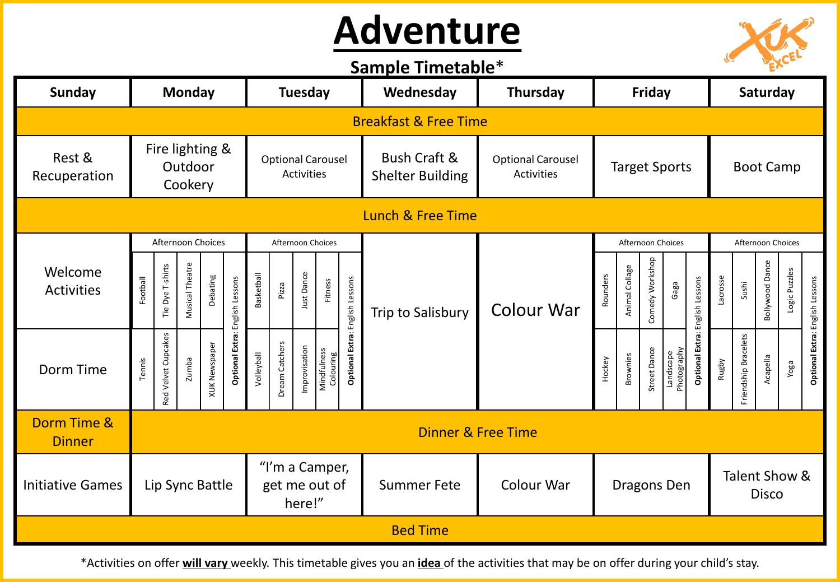## **Adventure**



## **Sample Timetable**\*

| <b>Sunday</b>                | <b>Monday</b>                         |                     |                 |                      |                                               | <b>Tuesday</b>                            |                                                                                                |            |         |                                                    | Wednesday                                     | Thursday             |                          | Friday                                       |                 |                      |                  |          | Saturday                        |                 |               |  |  |
|------------------------------|---------------------------------------|---------------------|-----------------|----------------------|-----------------------------------------------|-------------------------------------------|------------------------------------------------------------------------------------------------|------------|---------|----------------------------------------------------|-----------------------------------------------|----------------------|--------------------------|----------------------------------------------|-----------------|----------------------|------------------|----------|---------------------------------|-----------------|---------------|--|--|
|                              | <b>Breakfast &amp; Free Time</b>      |                     |                 |                      |                                               |                                           |                                                                                                |            |         |                                                    |                                               |                      |                          |                                              |                 |                      |                  |          |                                 |                 |               |  |  |
| Rest &<br>Recuperation       | Fire lighting &<br>Outdoor<br>Cookery |                     |                 |                      | <b>Optional Carousel</b><br><b>Activities</b> |                                           |                                                                                                |            |         | <b>Bush Craft &amp;</b><br><b>Shelter Building</b> | <b>Optional Carousel</b><br><b>Activities</b> | <b>Target Sports</b> |                          |                                              |                 |                      | <b>Boot Camp</b> |          |                                 |                 |               |  |  |
| Lunch & Free Time            |                                       |                     |                 |                      |                                               |                                           |                                                                                                |            |         |                                                    |                                               |                      |                          |                                              |                 |                      |                  |          |                                 |                 |               |  |  |
|                              |                                       | Afternoon Choices   |                 |                      |                                               | Afternoon Choices                         |                                                                                                |            |         |                                                    |                                               |                      | Afternoon Choices        |                                              |                 |                      |                  |          | Afternoon Choices               |                 |               |  |  |
| Welcome<br><b>Activities</b> | Football                              | Tie Dye T-shirts    | Musical Theatre | Debating             |                                               | <b>Basketball</b>                         | Pizza                                                                                          | Just Dance | Fitness |                                                    | Trip to Salisbury                             | <b>Colour War</b>    | Rounders                 | Animal Collage                               | Comedy Workshop | Gaga                 |                  | Lacrosse | Sushi                           | Bollywood Dance | Logic Puzzles |  |  |
| Dorm Time                    | Tennis                                | Red Velvet Cupcakes | zumba           | <b>XUK Newspaper</b> | Optional Extra: English Lessons               | Volleyball                                | Optional Extra: English Lessons<br>Dream Catchers<br>Improvisation<br>Mindfulness<br>Colouring |            |         | Hockey                                             | <b>Brownies</b>                               | Street Dance         | Landscape<br>Photography | Optional Extra: English Lessons              | Rugby           | Friendship Bracelets | Acapella         | Yoga     | Optional Extra: English Lessons |                 |               |  |  |
| Dorm Time &<br><b>Dinner</b> |                                       |                     |                 |                      |                                               |                                           |                                                                                                |            |         |                                                    | <b>Dinner &amp; Free Time</b>                 |                      |                          |                                              |                 |                      |                  |          |                                 |                 |               |  |  |
| <b>Initiative Games</b>      | Lip Sync Battle                       |                     |                 |                      |                                               | "I'm a Camper,<br>get me out of<br>here!" |                                                                                                |            |         |                                                    | <b>Summer Fete</b>                            | <b>Colour War</b>    |                          | Talent Show &<br>Dragons Den<br><b>Disco</b> |                 |                      |                  |          |                                 |                 |               |  |  |
|                              |                                       |                     |                 |                      |                                               |                                           |                                                                                                |            |         |                                                    | <b>Bed Time</b>                               |                      |                          |                                              |                 |                      |                  |          |                                 |                 |               |  |  |

\*Activities on offer **will vary** weekly. This timetable gives you an **idea** of the activities that may be on offer during your child's stay.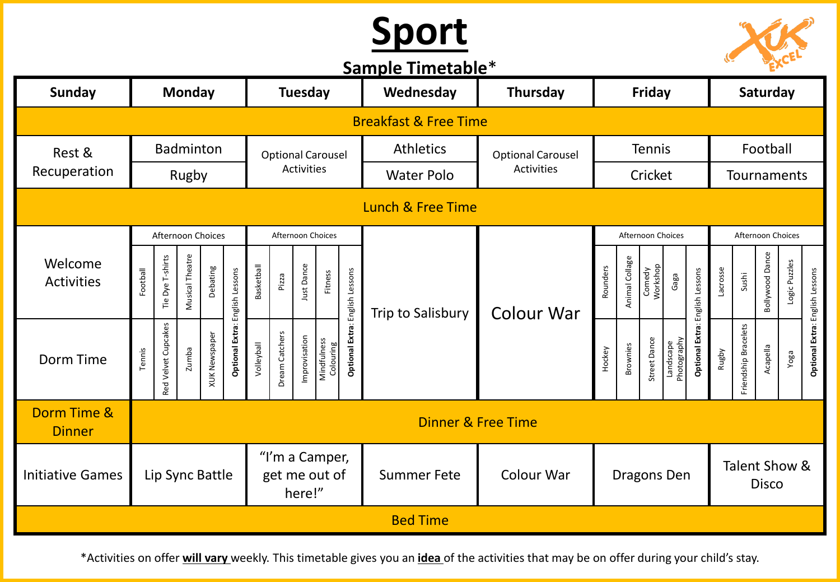## **Sport**

**Sample Timetable**\*



| <b>SUILDIC LITTLE COMPLE</b> |                                  |                     |                 |                      |                                 |                                           |                |                   |                          |                        |                    |                               |               |                 |                     |                          |                                 |                               |                      |                        |              |                                 |
|------------------------------|----------------------------------|---------------------|-----------------|----------------------|---------------------------------|-------------------------------------------|----------------|-------------------|--------------------------|------------------------|--------------------|-------------------------------|---------------|-----------------|---------------------|--------------------------|---------------------------------|-------------------------------|----------------------|------------------------|--------------|---------------------------------|
| <b>Sunday</b>                | <b>Monday</b>                    |                     |                 |                      | <b>Tuesday</b>                  |                                           |                |                   |                          | Wednesday              | Thursday           |                               | Friday        |                 |                     |                          |                                 | Saturday                      |                      |                        |              |                                 |
|                              | <b>Breakfast &amp; Free Time</b> |                     |                 |                      |                                 |                                           |                |                   |                          |                        |                    |                               |               |                 |                     |                          |                                 |                               |                      |                        |              |                                 |
| Rest &                       | <b>Badminton</b>                 |                     |                 |                      |                                 | <b>Optional Carousel</b>                  |                |                   |                          |                        | <b>Athletics</b>   | <b>Optional Carousel</b>      | <b>Tennis</b> |                 |                     |                          |                                 |                               |                      |                        |              |                                 |
| Recuperation                 | Rugby                            |                     |                 |                      |                                 |                                           |                | <b>Activities</b> |                          |                        | <b>Water Polo</b>  | <b>Activities</b>             | Cricket       |                 |                     |                          |                                 | Tournaments                   |                      |                        |              |                                 |
| Lunch & Free Time            |                                  |                     |                 |                      |                                 |                                           |                |                   |                          |                        |                    |                               |               |                 |                     |                          |                                 |                               |                      |                        |              |                                 |
|                              |                                  |                     |                 | Afternoon Choices    |                                 | Afternoon Choices                         |                |                   |                          |                        |                    |                               |               |                 | Afternoon Choices   |                          |                                 | Afternoon Choices             |                      |                        |              |                                 |
| Welcome<br><b>Activities</b> | Football                         | Tie Dye T-shirts    | Musical Theatre | Debating             |                                 | Basketball                                | Pizza          | Just Dance        | Fitness                  | English Lessons        | Trip to Salisbury  | <b>Colour War</b>             | Rounders      | Animal Collage  | Comedy<br>Workshop  | Gaga                     |                                 | Lacrosse                      | Sushi                | <b>Bollywood Dance</b> | ogic Puzzles |                                 |
| Dorm Time                    | Tennis                           | Red Velvet Cupcakes | zumba           | <b>XUK Newspaper</b> | Optional Extra: English Lessons | Volleyball                                | Dream Catchers | Improvisation     | Mindfulness<br>Colouring | <b>Optional Extra:</b> |                    |                               | Hockey        | <b>Brownies</b> | <b>Street Dance</b> | Landscape<br>Photography | Optional Extra: English Lessons | Rugby                         | Friendship Bracelets | Acapella               | Yoga         | Optional Extra: English Lessons |
| Dorm Time &<br><b>Dinner</b> |                                  |                     |                 |                      |                                 |                                           |                |                   |                          |                        |                    | <b>Dinner &amp; Free Time</b> |               |                 |                     |                          |                                 |                               |                      |                        |              |                                 |
| <b>Initiative Games</b>      |                                  |                     |                 | Lip Sync Battle      |                                 | "I'm a Camper,<br>get me out of<br>here!" |                |                   |                          |                        | <b>Summer Fete</b> | Colour War                    | Dragons Den   |                 |                     |                          |                                 | Talent Show &<br><b>Disco</b> |                      |                        |              |                                 |
|                              |                                  |                     |                 |                      |                                 |                                           |                |                   |                          |                        | <b>Bed Time</b>    |                               |               |                 |                     |                          |                                 |                               |                      |                        |              |                                 |

\*Activities on offer **will vary** weekly. This timetable gives you an **idea** of the activities that may be on offer during your child's stay.